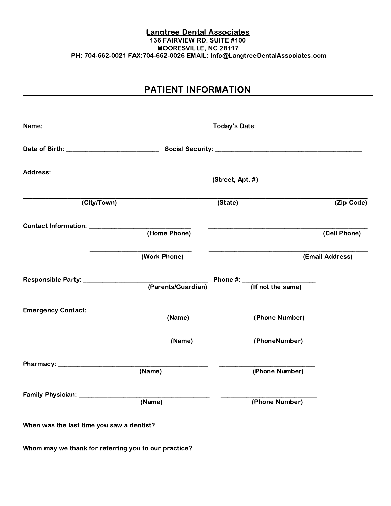#### Langtree Dental Associates 136 FAIRVIEW RD. SUITE #100 MOORESVILLE, NC 28117 PH: 704-662-0021 FAX:704-662-0026 EMAIL: Info@LangtreeDentalAssociates.com

## PATIENT INFORMATION

|                                    |                                                                                  | Today's Date:_________________ |                                            |                 |
|------------------------------------|----------------------------------------------------------------------------------|--------------------------------|--------------------------------------------|-----------------|
|                                    |                                                                                  |                                |                                            |                 |
|                                    |                                                                                  | (Street, Apt. #)               |                                            |                 |
|                                    |                                                                                  |                                |                                            |                 |
| (City/Town)                        |                                                                                  | (State)                        |                                            | (Zip Code)      |
|                                    |                                                                                  |                                |                                            |                 |
|                                    | (Home Phone)                                                                     |                                |                                            | (Cell Phone)    |
|                                    | (Work Phone)                                                                     |                                |                                            | (Email Address) |
|                                    | (Parents/Guardian)                                                               |                                | Phone $\#$ : $\frac{ }{$ (If not the same) |                 |
|                                    |                                                                                  |                                |                                            |                 |
|                                    |                                                                                  |                                |                                            |                 |
|                                    | (Name)                                                                           |                                | (Phone Number)                             |                 |
|                                    | (Name)                                                                           |                                | (PhoneNumber)                              |                 |
|                                    |                                                                                  |                                |                                            |                 |
|                                    | (Name)                                                                           |                                | (Phone Number)                             |                 |
| Family Physician: ________________ |                                                                                  |                                |                                            |                 |
|                                    | (Name)                                                                           |                                | (Phone Number)                             |                 |
|                                    |                                                                                  |                                |                                            |                 |
|                                    | Whom may we thank for referring you to our practice? ___________________________ |                                |                                            |                 |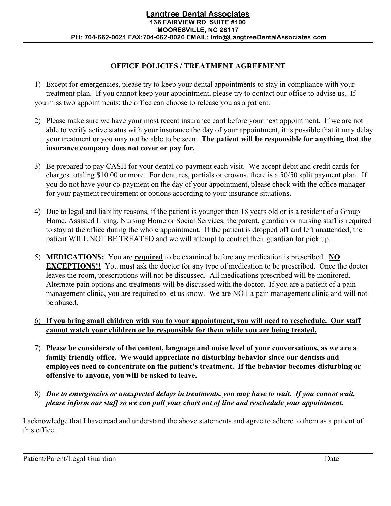#### **OFFICE POLICIES / TREATMENT AGREEMENT**

- 1) Except for emergencies, please try to keep your dental appointments to stay in compliance with your treatment plan. If you cannot keep your appointment, please try to contact our office to advise us. If you miss two appointments; the office can choose to release you as a patient.
- 2) Please make sure we have your most recent insurance card before your next appointment. If we are not able to verify active status with your insurance the day of your appointment, it is possible that it may delay your treatment or you may not be able to be seen. **The patient will be responsible for anything that the insurance company does not cover or pay for.**
- 3) Be prepared to pay CASH for your dental co-payment each visit. We accept debit and credit cards for charges totaling \$10.00 or more. For dentures, partials or crowns, there is a 50/50 split payment plan. If you do not have your co-payment on the day of your appointment, please check with the office manager for your payment requirement or options according to your insurance situations.
- 4) Due to legal and liability reasons, if the patient is younger than 18 years old or is a resident of a Group Home, Assisted Living, Nursing Home or Social Services, the parent, guardian or nursing staff is required to stay at the office during the whole appointment. If the patient is dropped off and left unattended, the patient WILL NOT BE TREATED and we will attempt to contact their guardian for pick up.
- 5) **MEDICATIONS:** You are **required** to be examined before any medication is prescribed. **NO EXCEPTIONS!!** You must ask the doctor for any type of medication to be prescribed. Once the doctor leaves the room, prescriptions will not be discussed. All medications prescribed will be monitored. Alternate pain options and treatments will be discussed with the doctor. If you are a patient of a pain management clinic, you are required to let us know. We are NOT a pain management clinic and will not be abused.

#### 6) **If you bring small children with you to your appointment, you will need to reschedule. Our staff cannot watch your children or be responsible for them while you are being treated.**

- 7) **Please be considerate of the content, language and noise level of your conversations, as we are a family friendly office. We would appreciate no disturbing behavior since our dentists and employees need to concentrate on the patient's treatment. If the behavior becomes disturbing or offensive to anyone, you will be asked to leave.**
- 8) *Due to emergencies or unexpected delays in treatments, you may have to wait. If you cannot wait, please inform our staff so we can pull your chart out of line and reschedule your appointment.*

I acknowledge that I have read and understand the above statements and agree to adhere to them as a patient of this office.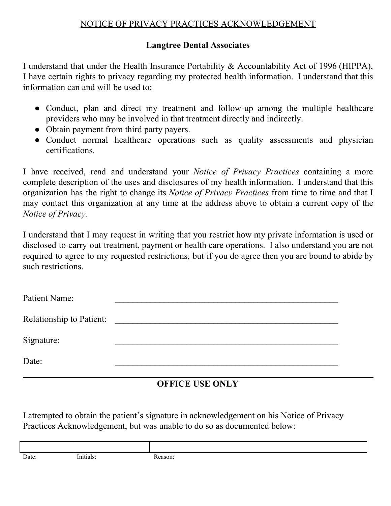#### NOTICE OF PRIVACY PRACTICES ACKNOWLEDGEMENT

#### **Langtree Dental Associates**

I understand that under the Health Insurance Portability & Accountability Act of 1996 (HIPPA), I have certain rights to privacy regarding my protected health information. I understand that this information can and will be used to:

- Conduct, plan and direct my treatment and follow-up among the multiple healthcare providers who may be involved in that treatment directly and indirectly.
- Obtain payment from third party payers.
- Conduct normal healthcare operations such as quality assessments and physician certifications.

I have received, read and understand your *Notice of Privacy Practices* containing a more complete description of the uses and disclosures of my health information. I understand that this organization has the right to change its *Notice of Privacy Practices* from time to time and that I may contact this organization at any time at the address above to obtain a current copy of the *Notice of Privacy.*

I understand that I may request in writing that you restrict how my private information is used or disclosed to carry out treatment, payment or health care operations. I also understand you are not required to agree to my requested restrictions, but if you do agree then you are bound to abide by such restrictions.

| Patient Name:                   |  |
|---------------------------------|--|
| <b>Relationship to Patient:</b> |  |
| Signature:                      |  |
| Date:                           |  |

### **OFFICE USE ONLY**

I attempted to obtain the patient's signature in acknowledgement on his Notice of Privacy Practices Acknowledgement, but was unable to do so as documented below:

| Date: | 12 IS | eason' |
|-------|-------|--------|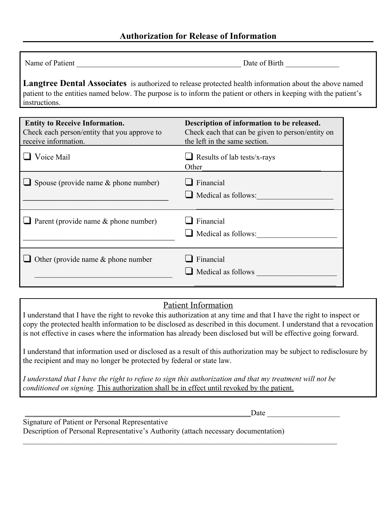Date of Birth

**Langtree Dental Associates** is authorized to release protected health information about the above named patient to the entities named below. The purpose is to inform the patient or others in keeping with the patient's instructions.

| <b>Entity to Receive Information.</b><br>Check each person/entity that you approve to<br>receive information. | Description of information to be released.<br>Check each that can be given to person/entity on<br>the left in the same section. |
|---------------------------------------------------------------------------------------------------------------|---------------------------------------------------------------------------------------------------------------------------------|
| Voice Mail                                                                                                    | $\Box$ Results of lab tests/x-rays<br>Other                                                                                     |
| $\Box$ Spouse (provide name & phone number)                                                                   | Financial<br>Medical as follows:                                                                                                |
| $\Box$ Parent (provide name & phone number)                                                                   | Financial<br>Medical as follows:                                                                                                |
| Other (provide name $\&$ phone number                                                                         | Financial<br>Medical as follows                                                                                                 |

### Patient Information

I understand that I have the right to revoke this authorization at any time and that I have the right to inspect or copy the protected health information to be disclosed as described in this document. I understand that a revocation is not effective in cases where the information has already been disclosed but will be effective going forward.

I understand that information used or disclosed as a result of this authorization may be subject to redisclosure by the recipient and may no longer be protected by federal or state law.

*I understand that I have the right to refuse to sign this authorization and that my treatment will not be conditioned on signing.* This authorization shall be in effect until revoked by the patient.

 $\mathcal{L}_\mathcal{L} = \{ \mathcal{L}_\mathcal{L} = \{ \mathcal{L}_\mathcal{L} = \{ \mathcal{L}_\mathcal{L} = \{ \mathcal{L}_\mathcal{L} = \{ \mathcal{L}_\mathcal{L} = \{ \mathcal{L}_\mathcal{L} = \{ \mathcal{L}_\mathcal{L} = \{ \mathcal{L}_\mathcal{L} = \{ \mathcal{L}_\mathcal{L} = \{ \mathcal{L}_\mathcal{L} = \{ \mathcal{L}_\mathcal{L} = \{ \mathcal{L}_\mathcal{L} = \{ \mathcal{L}_\mathcal{L} = \{ \mathcal{L}_\mathcal{$ 

 $\Box$ Date  $\Box$ 

| Signature of Patient or Personal Representative                                     |
|-------------------------------------------------------------------------------------|
| Description of Personal Representative's Authority (attach necessary documentation) |